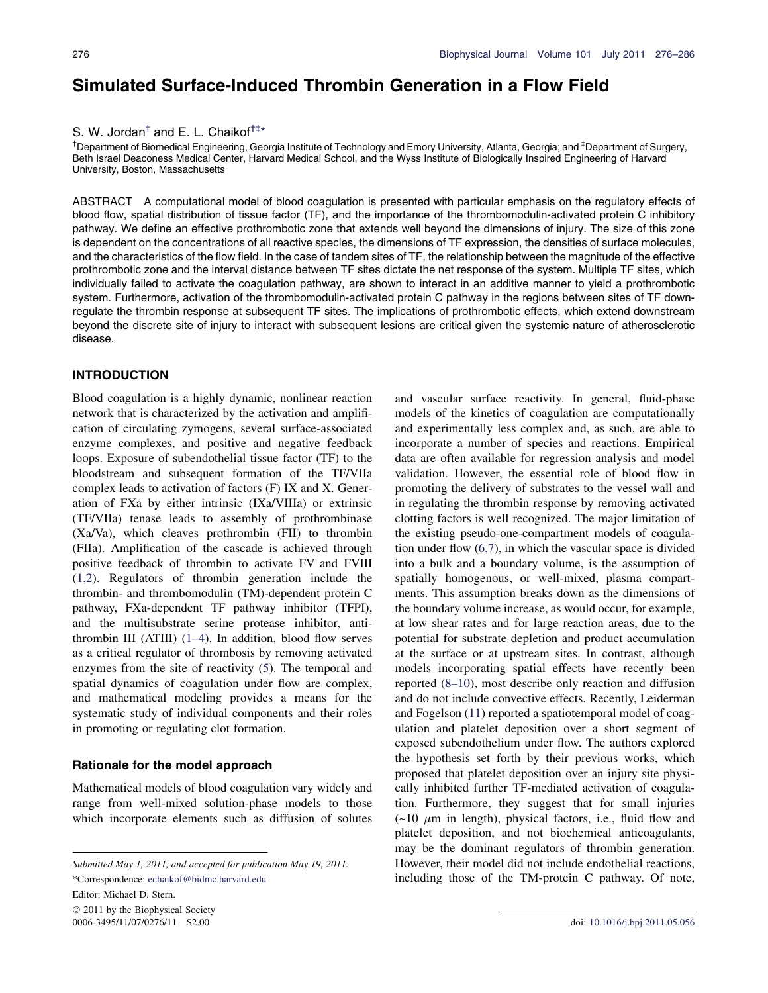# Simulated Surface-Induced Thrombin Generation in a Flow Field

#### S. W. Jordan<sup>†</sup> and E. L. Chaikof<sup>†‡\*</sup>

† Department of Biomedical Engineering, Georgia Institute of Technology and Emory University, Atlanta, Georgia; and ‡ Department of Surgery, Beth Israel Deaconess Medical Center, Harvard Medical School, and the Wyss Institute of Biologically Inspired Engineering of Harvard University, Boston, Massachusetts

ABSTRACT A computational model of blood coagulation is presented with particular emphasis on the regulatory effects of blood flow, spatial distribution of tissue factor (TF), and the importance of the thrombomodulin-activated protein C inhibitory pathway. We define an effective prothrombotic zone that extends well beyond the dimensions of injury. The size of this zone is dependent on the concentrations of all reactive species, the dimensions of TF expression, the densities of surface molecules, and the characteristics of the flow field. In the case of tandem sites of TF, the relationship between the magnitude of the effective prothrombotic zone and the interval distance between TF sites dictate the net response of the system. Multiple TF sites, which individually failed to activate the coagulation pathway, are shown to interact in an additive manner to yield a prothrombotic system. Furthermore, activation of the thrombomodulin-activated protein C pathway in the regions between sites of TF downregulate the thrombin response at subsequent TF sites. The implications of prothrombotic effects, which extend downstream beyond the discrete site of injury to interact with subsequent lesions are critical given the systemic nature of atherosclerotic disease.

### INTRODUCTION

Blood coagulation is a highly dynamic, nonlinear reaction network that is characterized by the activation and amplification of circulating zymogens, several surface-associated enzyme complexes, and positive and negative feedback loops. Exposure of subendothelial tissue factor (TF) to the bloodstream and subsequent formation of the TF/VIIa complex leads to activation of factors (F) IX and X. Generation of FXa by either intrinsic (IXa/VIIIa) or extrinsic (TF/VIIa) tenase leads to assembly of prothrombinase (Xa/Va), which cleaves prothrombin (FII) to thrombin (FIIa). Amplification of the cascade is achieved through positive feedback of thrombin to activate FV and FVIII (1,2). Regulators of thrombin generation include the thrombin- and thrombomodulin (TM)-dependent protein C pathway, FXa-dependent TF pathway inhibitor (TFPI), and the multisubstrate serine protease inhibitor, antithrombin III (ATIII) (1–4). In addition, blood flow serves as a critical regulator of thrombosis by removing activated enzymes from the site of reactivity (5). The temporal and spatial dynamics of coagulation under flow are complex, and mathematical modeling provides a means for the systematic study of individual components and their roles in promoting or regulating clot formation.

#### Rationale for the model approach

Mathematical models of blood coagulation vary widely and range from well-mixed solution-phase models to those which incorporate elements such as diffusion of solutes

Editor: Michael D. Stern.  $© 2011$  by the Biophysical Society 0006-3495/11/07/0276/11 \$2.00 doi: 10.1016/j.bpj.2011.05.056

and vascular surface reactivity. In general, fluid-phase models of the kinetics of coagulation are computationally and experimentally less complex and, as such, are able to incorporate a number of species and reactions. Empirical data are often available for regression analysis and model validation. However, the essential role of blood flow in promoting the delivery of substrates to the vessel wall and in regulating the thrombin response by removing activated clotting factors is well recognized. The major limitation of the existing pseudo-one-compartment models of coagulation under flow (6,7), in which the vascular space is divided into a bulk and a boundary volume, is the assumption of spatially homogenous, or well-mixed, plasma compartments. This assumption breaks down as the dimensions of the boundary volume increase, as would occur, for example, at low shear rates and for large reaction areas, due to the potential for substrate depletion and product accumulation at the surface or at upstream sites. In contrast, although models incorporating spatial effects have recently been reported (8–10), most describe only reaction and diffusion and do not include convective effects. Recently, Leiderman and Fogelson (11) reported a spatiotemporal model of coagulation and platelet deposition over a short segment of exposed subendothelium under flow. The authors explored the hypothesis set forth by their previous works, which proposed that platelet deposition over an injury site physically inhibited further TF-mediated activation of coagulation. Furthermore, they suggest that for small injuries  $(\sim 10 \mu m)$  in length), physical factors, i.e., fluid flow and platelet deposition, and not biochemical anticoagulants, may be the dominant regulators of thrombin generation. However, their model did not include endothelial reactions, including those of the TM-protein C pathway. Of note,

Submitted May 1, 2011, and accepted for publication May 19, 2011. \*Correspondence: echaikof@bidmc.harvard.edu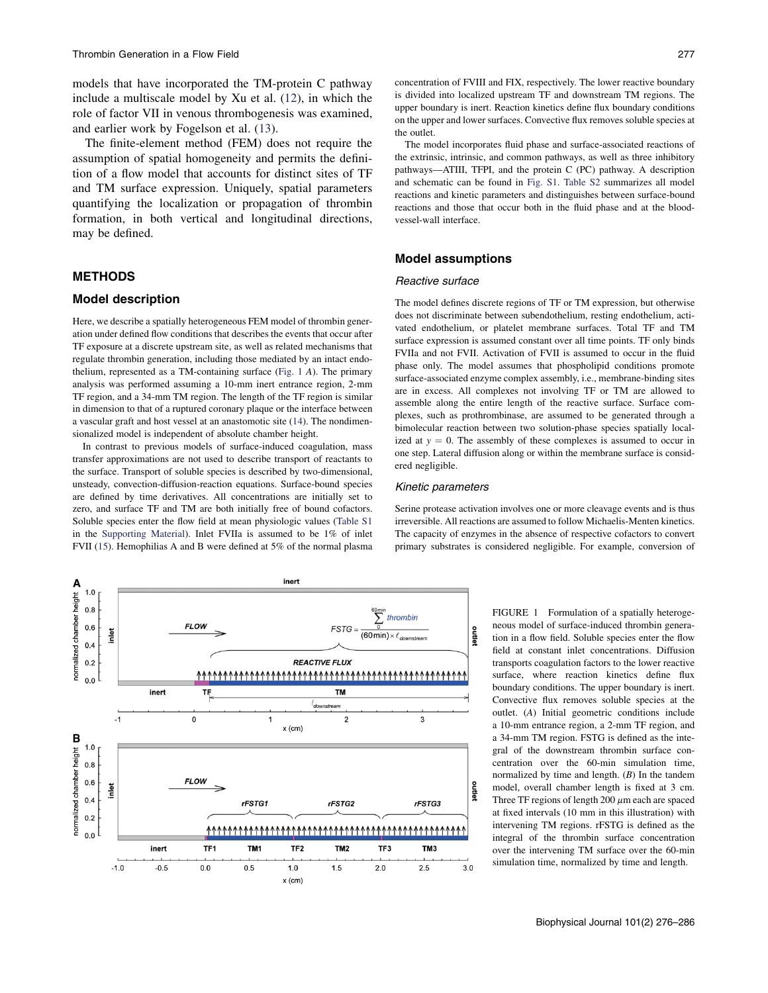models that have incorporated the TM-protein C pathway include a multiscale model by Xu et al. (12), in which the role of factor VII in venous thrombogenesis was examined, and earlier work by Fogelson et al. (13).

The finite-element method (FEM) does not require the assumption of spatial homogeneity and permits the definition of a flow model that accounts for distinct sites of TF and TM surface expression. Uniquely, spatial parameters quantifying the localization or propagation of thrombin formation, in both vertical and longitudinal directions, may be defined.

#### METHODS

#### Model description

Here, we describe a spatially heterogeneous FEM model of thrombin generation under defined flow conditions that describes the events that occur after TF exposure at a discrete upstream site, as well as related mechanisms that regulate thrombin generation, including those mediated by an intact endothelium, represented as a TM-containing surface (Fig. 1 A). The primary analysis was performed assuming a 10-mm inert entrance region, 2-mm TF region, and a 34-mm TM region. The length of the TF region is similar in dimension to that of a ruptured coronary plaque or the interface between a vascular graft and host vessel at an anastomotic site (14). The nondimensionalized model is independent of absolute chamber height.

In contrast to previous models of surface-induced coagulation, mass transfer approximations are not used to describe transport of reactants to the surface. Transport of soluble species is described by two-dimensional, unsteady, convection-diffusion-reaction equations. Surface-bound species are defined by time derivatives. All concentrations are initially set to zero, and surface TF and TM are both initially free of bound cofactors. Soluble species enter the flow field at mean physiologic values (Table S1 in the Supporting Material). Inlet FVIIa is assumed to be 1% of inlet FVII (15). Hemophilias A and B were defined at 5% of the normal plasma



concentration of FVIII and FIX, respectively. The lower reactive boundary is divided into localized upstream TF and downstream TM regions. The upper boundary is inert. Reaction kinetics define flux boundary conditions on the upper and lower surfaces. Convective flux removes soluble species at the outlet.

The model incorporates fluid phase and surface-associated reactions of the extrinsic, intrinsic, and common pathways, as well as three inhibitory pathways—ATIII, TFPI, and the protein C (PC) pathway. A description and schematic can be found in Fig. S1. Table S2 summarizes all model reactions and kinetic parameters and distinguishes between surface-bound reactions and those that occur both in the fluid phase and at the bloodvessel-wall interface.

#### Model assumptions

The model defines discrete regions of TF or TM expression, but otherwise does not discriminate between subendothelium, resting endothelium, activated endothelium, or platelet membrane surfaces. Total TF and TM surface expression is assumed constant over all time points. TF only binds FVIIa and not FVII. Activation of FVII is assumed to occur in the fluid phase only. The model assumes that phospholipid conditions promote surface-associated enzyme complex assembly, i.e., membrane-binding sites are in excess. All complexes not involving TF or TM are allowed to assemble along the entire length of the reactive surface. Surface complexes, such as prothrombinase, are assumed to be generated through a bimolecular reaction between two solution-phase species spatially localized at  $y = 0$ . The assembly of these complexes is assumed to occur in one step. Lateral diffusion along or within the membrane surface is considered negligible.

# Kinetic parameters

Serine protease activation involves one or more cleavage events and is thus irreversible. All reactions are assumed to follow Michaelis-Menten kinetics. The capacity of enzymes in the absence of respective cofactors to convert primary substrates is considered negligible. For example, conversion of

> FIGURE 1 Formulation of a spatially heterogeneous model of surface-induced thrombin generation in a flow field. Soluble species enter the flow field at constant inlet concentrations. Diffusion transports coagulation factors to the lower reactive surface, where reaction kinetics define flux boundary conditions. The upper boundary is inert. Convective flux removes soluble species at the outlet. (A) Initial geometric conditions include a 10-mm entrance region, a 2-mm TF region, and a 34-mm TM region. FSTG is defined as the integral of the downstream thrombin surface concentration over the 60-min simulation time, normalized by time and length.  $(B)$  In the tandem model, overall chamber length is fixed at 3 cm. Three TF regions of length  $200 \mu m$  each are spaced at fixed intervals (10 mm in this illustration) with intervening TM regions. rFSTG is defined as the integral of the thrombin surface concentration over the intervening TM surface over the 60-min simulation time, normalized by time and length.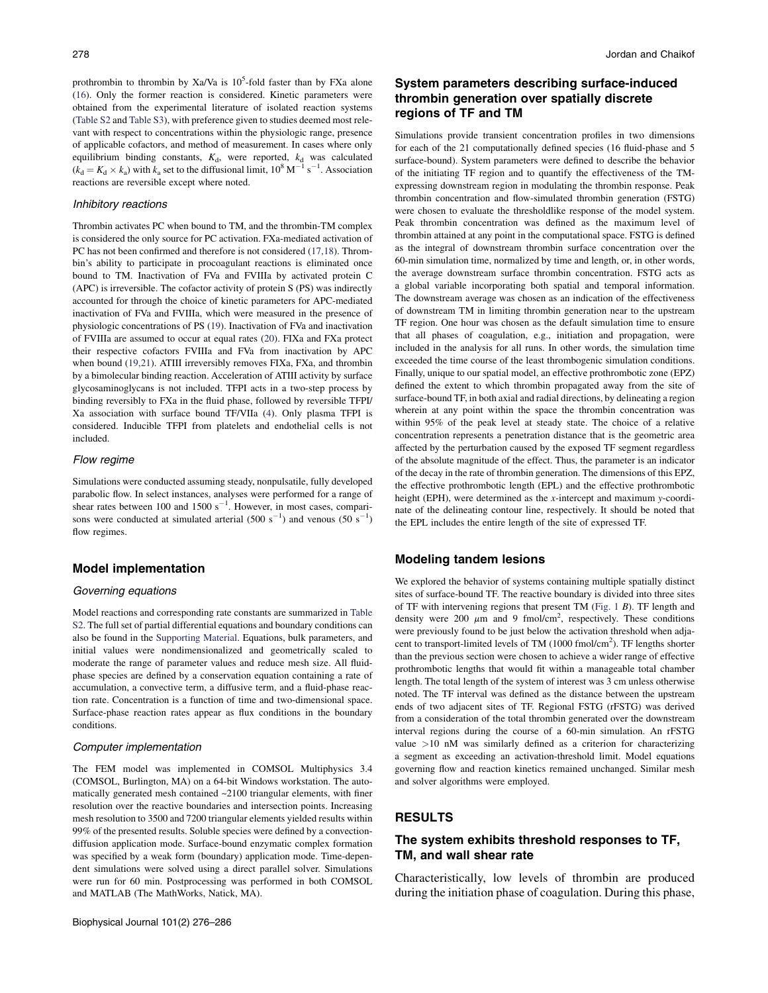prothrombin to thrombin by Xa/Va is  $10^5$ -fold faster than by FXa alone (16). Only the former reaction is considered. Kinetic parameters were obtained from the experimental literature of isolated reaction systems (Table S2 and Table S3), with preference given to studies deemed most relevant with respect to concentrations within the physiologic range, presence of applicable cofactors, and method of measurement. In cases where only equilibrium binding constants,  $K_d$ , were reported,  $k_d$  was calculated  $(k_d = K_d \times k_a)$  with  $k_a$  set to the diffusional limit,  $10^8 \text{ M}^{-1} \text{ s}^{-1}$ . Association reactions are reversible except where noted.

# Inhibitory reactions

Thrombin activates PC when bound to TM, and the thrombin-TM complex is considered the only source for PC activation. FXa-mediated activation of PC has not been confirmed and therefore is not considered (17,18). Thrombin's ability to participate in procoagulant reactions is eliminated once bound to TM. Inactivation of FVa and FVIIIa by activated protein C (APC) is irreversible. The cofactor activity of protein S (PS) was indirectly accounted for through the choice of kinetic parameters for APC-mediated inactivation of FVa and FVIIIa, which were measured in the presence of physiologic concentrations of PS (19). Inactivation of FVa and inactivation of FVIIIa are assumed to occur at equal rates (20). FIXa and FXa protect their respective cofactors FVIIIa and FVa from inactivation by APC when bound (19,21). ATIII irreversibly removes FIXa, FXa, and thrombin by a bimolecular binding reaction. Acceleration of ATIII activity by surface glycosaminoglycans is not included. TFPI acts in a two-step process by binding reversibly to FXa in the fluid phase, followed by reversible TFPI/ Xa association with surface bound TF/VIIa (4). Only plasma TFPI is considered. Inducible TFPI from platelets and endothelial cells is not included.

# Flow regime

Simulations were conducted assuming steady, nonpulsatile, fully developed parabolic flow. In select instances, analyses were performed for a range of shear rates between 100 and 1500  $s^{-1}$ . However, in most cases, comparisons were conducted at simulated arterial  $(500 \text{ s}^{-1})$  and venous  $(50 \text{ s}^{-1})$ flow regimes.

#### Model implementation

#### Governing equations

Model reactions and corresponding rate constants are summarized in Table S2. The full set of partial differential equations and boundary conditions can also be found in the Supporting Material. Equations, bulk parameters, and initial values were nondimensionalized and geometrically scaled to moderate the range of parameter values and reduce mesh size. All fluidphase species are defined by a conservation equation containing a rate of accumulation, a convective term, a diffusive term, and a fluid-phase reaction rate. Concentration is a function of time and two-dimensional space. Surface-phase reaction rates appear as flux conditions in the boundary conditions.

# Computer implementation

The FEM model was implemented in COMSOL Multiphysics 3.4 (COMSOL, Burlington, MA) on a 64-bit Windows workstation. The automatically generated mesh contained ~2100 triangular elements, with finer resolution over the reactive boundaries and intersection points. Increasing mesh resolution to 3500 and 7200 triangular elements yielded results within 99% of the presented results. Soluble species were defined by a convectiondiffusion application mode. Surface-bound enzymatic complex formation was specified by a weak form (boundary) application mode. Time-dependent simulations were solved using a direct parallel solver. Simulations were run for 60 min. Postprocessing was performed in both COMSOL and MATLAB (The MathWorks, Natick, MA).

# System parameters describing surface-induced thrombin generation over spatially discrete regions of TF and TM

Simulations provide transient concentration profiles in two dimensions for each of the 21 computationally defined species (16 fluid-phase and 5 surface-bound). System parameters were defined to describe the behavior of the initiating TF region and to quantify the effectiveness of the TMexpressing downstream region in modulating the thrombin response. Peak thrombin concentration and flow-simulated thrombin generation (FSTG) were chosen to evaluate the thresholdlike response of the model system. Peak thrombin concentration was defined as the maximum level of thrombin attained at any point in the computational space. FSTG is defined as the integral of downstream thrombin surface concentration over the 60-min simulation time, normalized by time and length, or, in other words, the average downstream surface thrombin concentration. FSTG acts as a global variable incorporating both spatial and temporal information. The downstream average was chosen as an indication of the effectiveness of downstream TM in limiting thrombin generation near to the upstream TF region. One hour was chosen as the default simulation time to ensure that all phases of coagulation, e.g., initiation and propagation, were included in the analysis for all runs. In other words, the simulation time exceeded the time course of the least thrombogenic simulation conditions. Finally, unique to our spatial model, an effective prothrombotic zone (EPZ) defined the extent to which thrombin propagated away from the site of surface-bound TF, in both axial and radial directions, by delineating a region wherein at any point within the space the thrombin concentration was within 95% of the peak level at steady state. The choice of a relative concentration represents a penetration distance that is the geometric area affected by the perturbation caused by the exposed TF segment regardless of the absolute magnitude of the effect. Thus, the parameter is an indicator of the decay in the rate of thrombin generation. The dimensions of this EPZ, the effective prothrombotic length (EPL) and the effective prothrombotic height (EPH), were determined as the x-intercept and maximum y-coordinate of the delineating contour line, respectively. It should be noted that the EPL includes the entire length of the site of expressed TF.

#### Modeling tandem lesions

We explored the behavior of systems containing multiple spatially distinct sites of surface-bound TF. The reactive boundary is divided into three sites of TF with intervening regions that present TM (Fig.  $1 B$ ). TF length and density were 200  $\mu$ m and 9 fmol/cm<sup>2</sup>, respectively. These conditions were previously found to be just below the activation threshold when adjacent to transport-limited levels of TM (1000 fmol/cm<sup>2</sup>). TF lengths shorter than the previous section were chosen to achieve a wider range of effective prothrombotic lengths that would fit within a manageable total chamber length. The total length of the system of interest was 3 cm unless otherwise noted. The TF interval was defined as the distance between the upstream ends of two adjacent sites of TF. Regional FSTG (rFSTG) was derived from a consideration of the total thrombin generated over the downstream interval regions during the course of a 60-min simulation. An rFSTG value >10 nM was similarly defined as a criterion for characterizing a segment as exceeding an activation-threshold limit. Model equations governing flow and reaction kinetics remained unchanged. Similar mesh and solver algorithms were employed.

#### RESULTS

### The system exhibits threshold responses to TF, TM, and wall shear rate

Characteristically, low levels of thrombin are produced during the initiation phase of coagulation. During this phase,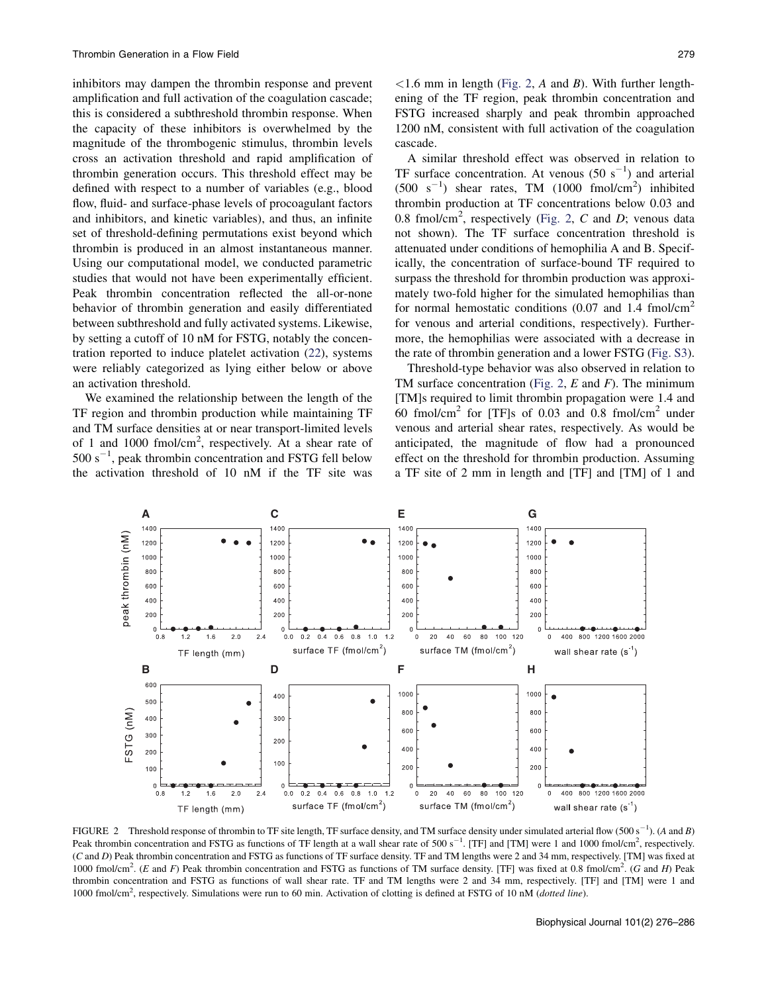inhibitors may dampen the thrombin response and prevent amplification and full activation of the coagulation cascade; this is considered a subthreshold thrombin response. When the capacity of these inhibitors is overwhelmed by the magnitude of the thrombogenic stimulus, thrombin levels cross an activation threshold and rapid amplification of thrombin generation occurs. This threshold effect may be defined with respect to a number of variables (e.g., blood flow, fluid- and surface-phase levels of procoagulant factors and inhibitors, and kinetic variables), and thus, an infinite set of threshold-defining permutations exist beyond which thrombin is produced in an almost instantaneous manner. Using our computational model, we conducted parametric studies that would not have been experimentally efficient. Peak thrombin concentration reflected the all-or-none behavior of thrombin generation and easily differentiated between subthreshold and fully activated systems. Likewise, by setting a cutoff of 10 nM for FSTG, notably the concentration reported to induce platelet activation (22), systems were reliably categorized as lying either below or above an activation threshold.

We examined the relationship between the length of the TF region and thrombin production while maintaining TF and TM surface densities at or near transport-limited levels of 1 and 1000 fmol/cm<sup>2</sup>, respectively. At a shear rate of  $500 \text{ s}^{-1}$ , peak thrombin concentration and FSTG fell below the activation threshold of 10 nM if the TF site was

 $<$ 1.6 mm in length (Fig. 2, A and B). With further lengthening of the TF region, peak thrombin concentration and FSTG increased sharply and peak thrombin approached 1200 nM, consistent with full activation of the coagulation cascade.

A similar threshold effect was observed in relation to TF surface concentration. At venous  $(50 \text{ s}^{-1})$  and arterial  $(500 \text{ s}^{-1})$  shear rates, TM  $(1000 \text{ fmol/cm}^2)$  inhibited thrombin production at TF concentrations below 0.03 and 0.8 fmol/cm<sup>2</sup>, respectively (Fig. 2, C and D; venous data not shown). The TF surface concentration threshold is attenuated under conditions of hemophilia A and B. Specifically, the concentration of surface-bound TF required to surpass the threshold for thrombin production was approximately two-fold higher for the simulated hemophilias than for normal hemostatic conditions  $(0.07 \text{ and } 1.4 \text{ fmol/cm}^2)$ for venous and arterial conditions, respectively). Furthermore, the hemophilias were associated with a decrease in the rate of thrombin generation and a lower FSTG (Fig. S3).

Threshold-type behavior was also observed in relation to TM surface concentration (Fig. 2,  $E$  and  $F$ ). The minimum [TM]s required to limit thrombin propagation were 1.4 and 60 fmol/cm<sup>2</sup> for [TF]s of 0.03 and 0.8 fmol/cm<sup>2</sup> under venous and arterial shear rates, respectively. As would be anticipated, the magnitude of flow had a pronounced effect on the threshold for thrombin production. Assuming a TF site of 2 mm in length and [TF] and [TM] of 1 and



FIGURE 2 Threshold response of thrombin to TF site length, TF surface density, and TM surface density under simulated arterial flow (500 s<sup>-1</sup>). (A and B) Peak thrombin concentration and FSTG as functions of TF length at a wall shear rate of 500 s<sup>-1</sup>. [TF] and [TM] were 1 and 1000 fmol/cm<sup>2</sup>, respectively. (C and D) Peak thrombin concentration and FSTG as functions of TF surface density. TF and TM lengths were 2 and 34 mm, respectively. [TM] was fixed at 1000 fmol/cm<sup>2</sup>. (E and F) Peak thrombin concentration and FSTG as functions of TM surface density. [TF] was fixed at 0.8 fmol/cm<sup>2</sup>. (G and H) Peak thrombin concentration and FSTG as functions of wall shear rate. TF and TM lengths were 2 and 34 mm, respectively. [TF] and [TM] were 1 and 1000 fmol/cm<sup>2</sup>, respectively. Simulations were run to 60 min. Activation of clotting is defined at FSTG of 10 nM (dotted line).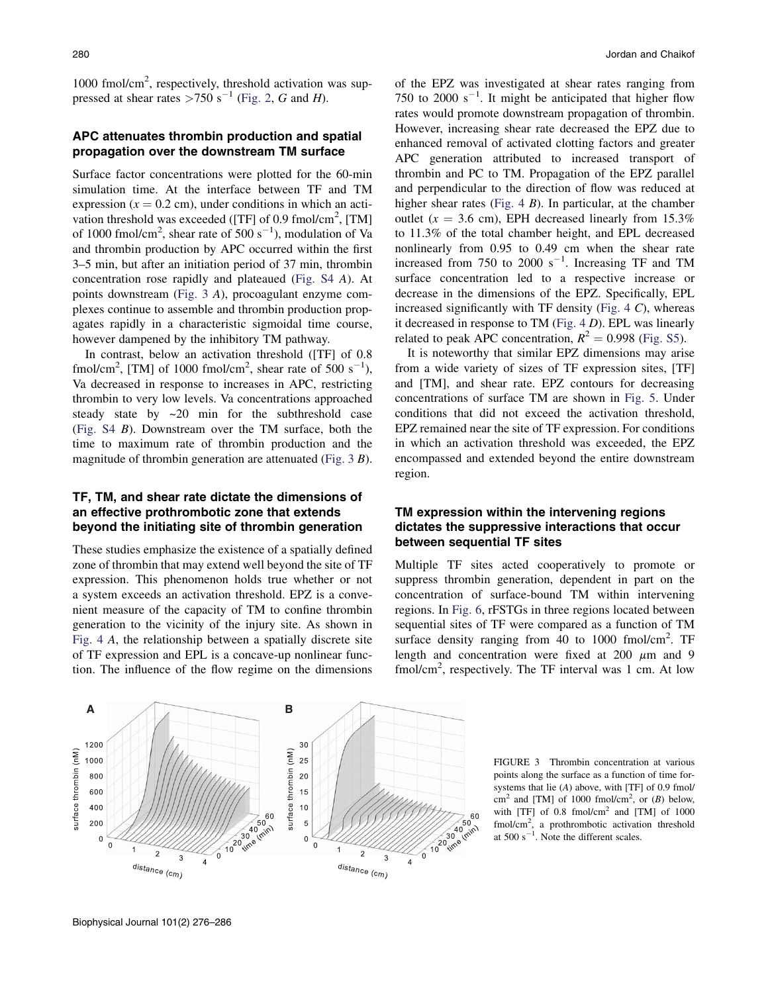1000 fmol/cm<sup>2</sup>, respectively, threshold activation was suppressed at shear rates >750 s<sup>-1</sup> (Fig. 2, G and H).

# APC attenuates thrombin production and spatial propagation over the downstream TM surface

Surface factor concentrations were plotted for the 60-min simulation time. At the interface between TF and TM expression ( $x = 0.2$  cm), under conditions in which an activation threshold was exceeded ([TF] of 0.9 fmol/cm<sup>2</sup>, [TM] of 1000 fmol/cm<sup>2</sup>, shear rate of 500 s<sup>-1</sup>), modulation of Va and thrombin production by APC occurred within the first 3–5 min, but after an initiation period of 37 min, thrombin concentration rose rapidly and plateaued (Fig. S4 A). At points downstream (Fig. 3 A), procoagulant enzyme complexes continue to assemble and thrombin production propagates rapidly in a characteristic sigmoidal time course, however dampened by the inhibitory TM pathway.

In contrast, below an activation threshold ([TF] of 0.8 fmol/cm<sup>2</sup>, [TM] of 1000 fmol/cm<sup>2</sup>, shear rate of 500 s<sup>-1</sup>), Va decreased in response to increases in APC, restricting thrombin to very low levels. Va concentrations approached steady state by ~20 min for the subthreshold case (Fig. S4 B). Downstream over the TM surface, both the time to maximum rate of thrombin production and the magnitude of thrombin generation are attenuated (Fig. 3 B).

# TF, TM, and shear rate dictate the dimensions of an effective prothrombotic zone that extends beyond the initiating site of thrombin generation

These studies emphasize the existence of a spatially defined zone of thrombin that may extend well beyond the site of TF expression. This phenomenon holds true whether or not a system exceeds an activation threshold. EPZ is a convenient measure of the capacity of TM to confine thrombin generation to the vicinity of the injury site. As shown in Fig. 4 A, the relationship between a spatially discrete site of TF expression and EPL is a concave-up nonlinear function. The influence of the flow regime on the dimensions of the EPZ was investigated at shear rates ranging from 750 to 2000  $s^{-1}$ . It might be anticipated that higher flow rates would promote downstream propagation of thrombin. However, increasing shear rate decreased the EPZ due to enhanced removal of activated clotting factors and greater APC generation attributed to increased transport of thrombin and PC to TM. Propagation of the EPZ parallel and perpendicular to the direction of flow was reduced at higher shear rates (Fig.  $4 \, B$ ). In particular, at the chamber outlet ( $x = 3.6$  cm), EPH decreased linearly from 15.3% to 11.3% of the total chamber height, and EPL decreased nonlinearly from 0.95 to 0.49 cm when the shear rate increased from 750 to 2000  $s^{-1}$ . Increasing TF and TM surface concentration led to a respective increase or decrease in the dimensions of the EPZ. Specifically, EPL increased significantly with TF density (Fig.  $4 C$ ), whereas it decreased in response to TM (Fig. 4 D). EPL was linearly related to peak APC concentration,  $R^2 = 0.998$  (Fig. S5).

It is noteworthy that similar EPZ dimensions may arise from a wide variety of sizes of TF expression sites, [TF] and [TM], and shear rate. EPZ contours for decreasing concentrations of surface TM are shown in Fig. 5. Under conditions that did not exceed the activation threshold, EPZ remained near the site of TF expression. For conditions in which an activation threshold was exceeded, the EPZ encompassed and extended beyond the entire downstream region.

### TM expression within the intervening regions dictates the suppressive interactions that occur between sequential TF sites

Multiple TF sites acted cooperatively to promote or suppress thrombin generation, dependent in part on the concentration of surface-bound TM within intervening regions. In Fig. 6, rFSTGs in three regions located between sequential sites of TF were compared as a function of TM surface density ranging from 40 to 1000 fmol/cm<sup>2</sup>. TF length and concentration were fixed at  $200 \mu m$  and 9 fmol/cm<sup>2</sup>, respectively. The TF interval was 1 cm. At low



FIGURE 3 Thrombin concentration at various points along the surface as a function of time forsystems that lie (A) above, with [TF] of 0.9 fmol/ cm<sup>2</sup> and [TM] of 1000 fmol/cm<sup>2</sup>, or  $(B)$  below, with [TF] of 0.8 fmol/cm2 and [TM] of 1000 fmol/cm<sup>2</sup>, a prothrombotic activation threshold at 500  $s^{-1}$ . Note the different scales.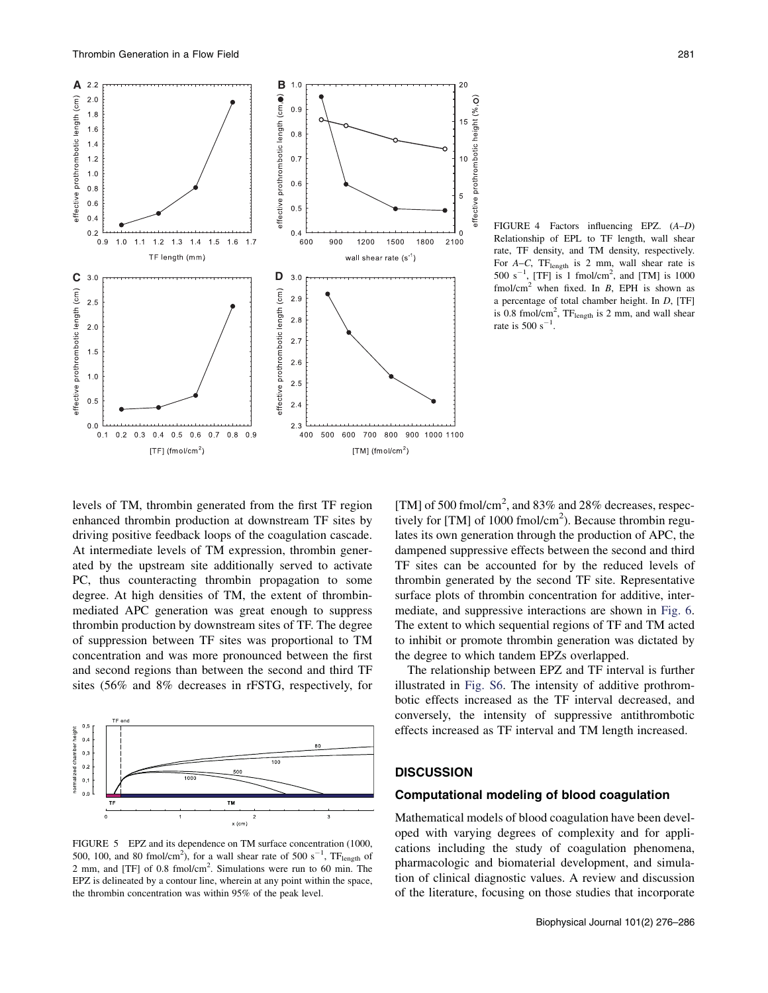

FIGURE 4 Factors influencing EPZ. (A–D) Relationship of EPL to TF length, wall shear rate, TF density, and TM density, respectively. For  $A-C$ , TF<sub>length</sub> is 2 mm, wall shear rate is  $500 \text{ s}^{-1}$ , [TF] is 1 fmol/cm<sup>2</sup>, and [TM] is 1000 fmol/cm<sup>2</sup> when fixed. In  $B$ , EPH is shown as a percentage of total chamber height. In D, [TF] is 0.8 fmol/cm<sup>2</sup>,  $TF_{length}$  is 2 mm, and wall shear rate is 500  $s^{-1}$ .

levels of TM, thrombin generated from the first TF region enhanced thrombin production at downstream TF sites by driving positive feedback loops of the coagulation cascade. At intermediate levels of TM expression, thrombin generated by the upstream site additionally served to activate PC, thus counteracting thrombin propagation to some degree. At high densities of TM, the extent of thrombinmediated APC generation was great enough to suppress thrombin production by downstream sites of TF. The degree of suppression between TF sites was proportional to TM concentration and was more pronounced between the first and second regions than between the second and third TF sites (56% and 8% decreases in rFSTG, respectively, for



FIGURE 5 EPZ and its dependence on TM surface concentration (1000, 500, 100, and 80 fmol/cm<sup>2</sup>), for a wall shear rate of 500 s<sup>-1</sup>, TF<sub>length</sub> of 2 mm, and [TF] of 0.8 fmol/cm2 . Simulations were run to 60 min. The EPZ is delineated by a contour line, wherein at any point within the space, the thrombin concentration was within 95% of the peak level.

[TM] of 500 fmol/cm<sup>2</sup>, and 83% and 28% decreases, respectively for [TM] of 1000 fmol/cm<sup>2</sup>). Because thrombin regulates its own generation through the production of APC, the dampened suppressive effects between the second and third TF sites can be accounted for by the reduced levels of thrombin generated by the second TF site. Representative surface plots of thrombin concentration for additive, intermediate, and suppressive interactions are shown in Fig. 6. The extent to which sequential regions of TF and TM acted to inhibit or promote thrombin generation was dictated by the degree to which tandem EPZs overlapped.

The relationship between EPZ and TF interval is further illustrated in Fig. S6. The intensity of additive prothrombotic effects increased as the TF interval decreased, and conversely, the intensity of suppressive antithrombotic effects increased as TF interval and TM length increased.

### **DISCUSSION**

### Computational modeling of blood coagulation

Mathematical models of blood coagulation have been developed with varying degrees of complexity and for applications including the study of coagulation phenomena, pharmacologic and biomaterial development, and simulation of clinical diagnostic values. A review and discussion of the literature, focusing on those studies that incorporate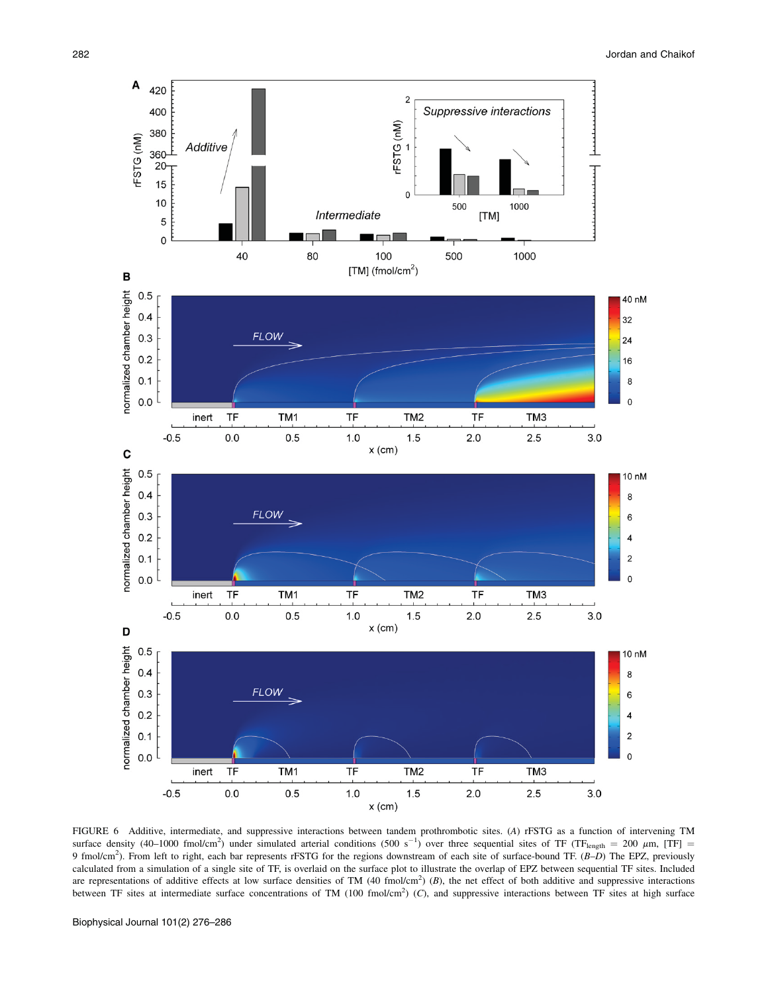

FIGURE 6 Additive, intermediate, and suppressive interactions between tandem prothrombotic sites. (A) rFSTG as a function of intervening TM surface density (40–1000 fmol/cm<sup>2</sup>) under simulated arterial conditions (500 s<sup>-1</sup>) over three sequential sites of TF (TF<sub>length</sub> = 200  $\mu$ m, [TF] = 9 fmol/cm<sup>2</sup>). From left to right, each bar represents rFSTG for the regions downstream of each site of surface-bound TF.  $(B-D)$  The EPZ, previously calculated from a simulation of a single site of TF, is overlaid on the surface plot to illustrate the overlap of EPZ between sequential TF sites. Included are representations of additive effects at low surface densities of TM  $(40 \text{ fmol/cm}^2)$  (B), the net effect of both additive and suppressive interactions between TF sites at intermediate surface concentrations of TM (100 fmol/cm<sup>2</sup>) (C), and suppressive interactions between TF sites at high surface

Biophysical Journal 101(2) 276–286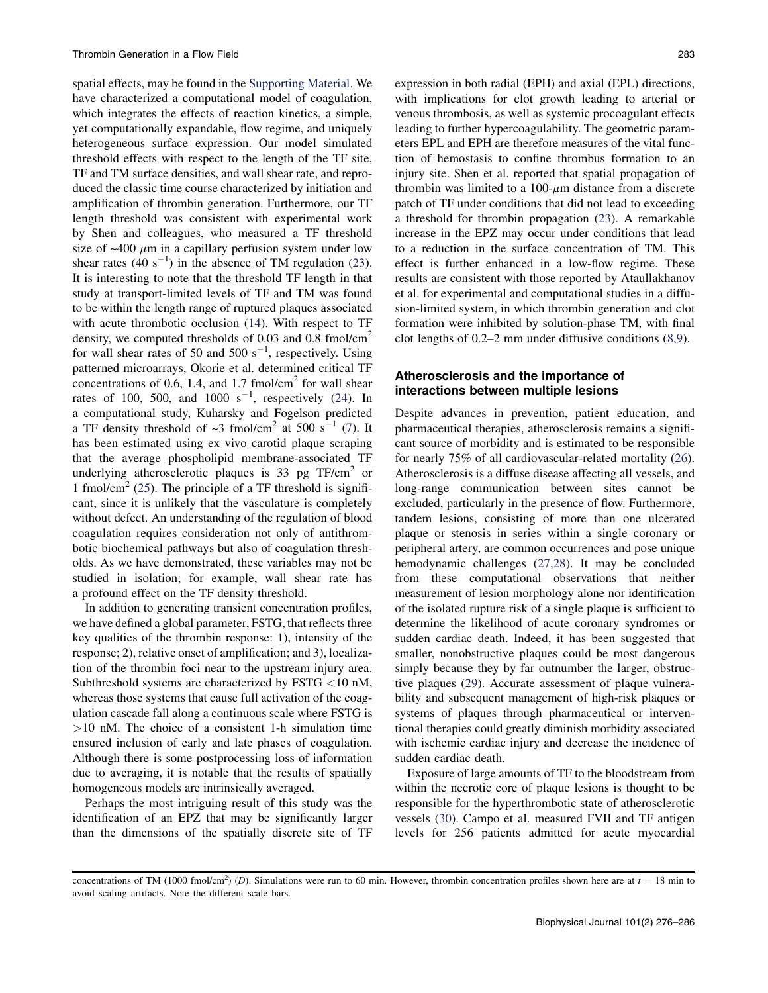spatial effects, may be found in the Supporting Material. We have characterized a computational model of coagulation, which integrates the effects of reaction kinetics, a simple, yet computationally expandable, flow regime, and uniquely heterogeneous surface expression. Our model simulated threshold effects with respect to the length of the TF site, TF and TM surface densities, and wall shear rate, and reproduced the classic time course characterized by initiation and amplification of thrombin generation. Furthermore, our TF length threshold was consistent with experimental work by Shen and colleagues, who measured a TF threshold size of  $~400 \mu m$  in a capillary perfusion system under low shear rates  $(40 \text{ s}^{-1})$  in the absence of TM regulation (23). It is interesting to note that the threshold TF length in that study at transport-limited levels of TF and TM was found to be within the length range of ruptured plaques associated with acute thrombotic occlusion (14). With respect to TF density, we computed thresholds of 0.03 and 0.8 fmol/cm<sup>2</sup> for wall shear rates of 50 and 500  $s^{-1}$ , respectively. Using patterned microarrays, Okorie et al. determined critical TF concentrations of 0.6, 1.4, and 1.7 fmol/cm<sup>2</sup> for wall shear rates of 100, 500, and 1000  $s^{-1}$ , respectively (24). In a computational study, Kuharsky and Fogelson predicted a TF density threshold of  $\sim$ 3 fmol/cm<sup>2</sup> at 500 s<sup>-1</sup> (7). It has been estimated using ex vivo carotid plaque scraping that the average phospholipid membrane-associated TF underlying atherosclerotic plaques is  $33$  pg TF/cm<sup>2</sup> or 1 fmol/cm<sup>2</sup> (25). The principle of a TF threshold is significant, since it is unlikely that the vasculature is completely without defect. An understanding of the regulation of blood coagulation requires consideration not only of antithrombotic biochemical pathways but also of coagulation thresholds. As we have demonstrated, these variables may not be studied in isolation; for example, wall shear rate has a profound effect on the TF density threshold.

In addition to generating transient concentration profiles, we have defined a global parameter, FSTG, that reflects three key qualities of the thrombin response: 1), intensity of the response; 2), relative onset of amplification; and 3), localization of the thrombin foci near to the upstream injury area. Subthreshold systems are characterized by FSTG <10 nM, whereas those systems that cause full activation of the coagulation cascade fall along a continuous scale where FSTG is  $>10$  nM. The choice of a consistent 1-h simulation time ensured inclusion of early and late phases of coagulation. Although there is some postprocessing loss of information due to averaging, it is notable that the results of spatially homogeneous models are intrinsically averaged.

Perhaps the most intriguing result of this study was the identification of an EPZ that may be significantly larger than the dimensions of the spatially discrete site of TF expression in both radial (EPH) and axial (EPL) directions, with implications for clot growth leading to arterial or venous thrombosis, as well as systemic procoagulant effects leading to further hypercoagulability. The geometric parameters EPL and EPH are therefore measures of the vital function of hemostasis to confine thrombus formation to an injury site. Shen et al. reported that spatial propagation of thrombin was limited to a  $100$ - $\mu$ m distance from a discrete patch of TF under conditions that did not lead to exceeding a threshold for thrombin propagation (23). A remarkable increase in the EPZ may occur under conditions that lead to a reduction in the surface concentration of TM. This effect is further enhanced in a low-flow regime. These results are consistent with those reported by Ataullakhanov et al. for experimental and computational studies in a diffusion-limited system, in which thrombin generation and clot formation were inhibited by solution-phase TM, with final clot lengths of 0.2–2 mm under diffusive conditions (8,9).

# Atherosclerosis and the importance of interactions between multiple lesions

Despite advances in prevention, patient education, and pharmaceutical therapies, atherosclerosis remains a significant source of morbidity and is estimated to be responsible for nearly 75% of all cardiovascular-related mortality (26). Atherosclerosis is a diffuse disease affecting all vessels, and long-range communication between sites cannot be excluded, particularly in the presence of flow. Furthermore, tandem lesions, consisting of more than one ulcerated plaque or stenosis in series within a single coronary or peripheral artery, are common occurrences and pose unique hemodynamic challenges (27,28). It may be concluded from these computational observations that neither measurement of lesion morphology alone nor identification of the isolated rupture risk of a single plaque is sufficient to determine the likelihood of acute coronary syndromes or sudden cardiac death. Indeed, it has been suggested that smaller, nonobstructive plaques could be most dangerous simply because they by far outnumber the larger, obstructive plaques (29). Accurate assessment of plaque vulnerability and subsequent management of high-risk plaques or systems of plaques through pharmaceutical or interventional therapies could greatly diminish morbidity associated with ischemic cardiac injury and decrease the incidence of sudden cardiac death.

Exposure of large amounts of TF to the bloodstream from within the necrotic core of plaque lesions is thought to be responsible for the hyperthrombotic state of atherosclerotic vessels (30). Campo et al. measured FVII and TF antigen levels for 256 patients admitted for acute myocardial

concentrations of TM (1000 fmol/cm<sup>2</sup>) (D). Simulations were run to 60 min. However, thrombin concentration profiles shown here are at  $t = 18$  min to avoid scaling artifacts. Note the different scale bars.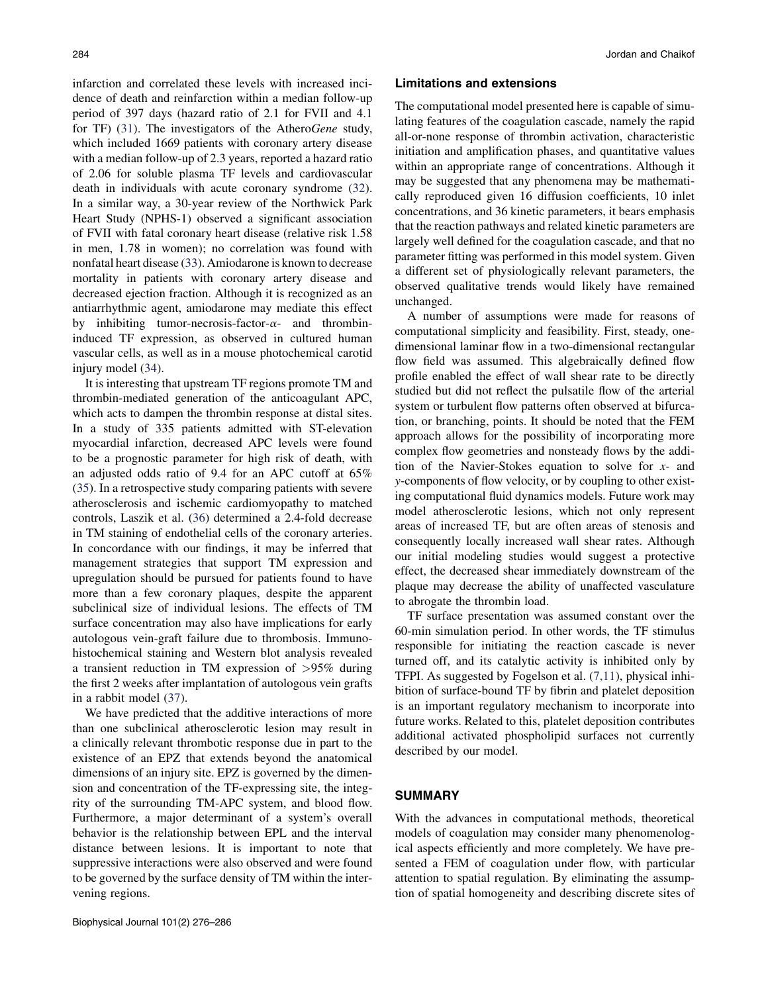infarction and correlated these levels with increased incidence of death and reinfarction within a median follow-up period of 397 days (hazard ratio of 2.1 for FVII and 4.1 for TF) (31). The investigators of the Athero*Gene* study, which included 1669 patients with coronary artery disease with a median follow-up of 2.3 years, reported a hazard ratio of 2.06 for soluble plasma TF levels and cardiovascular death in individuals with acute coronary syndrome (32). In a similar way, a 30-year review of the Northwick Park Heart Study (NPHS-1) observed a significant association of FVII with fatal coronary heart disease (relative risk 1.58 in men, 1.78 in women); no correlation was found with nonfatal heart disease (33). Amiodarone is known to decrease mortality in patients with coronary artery disease and decreased ejection fraction. Although it is recognized as an antiarrhythmic agent, amiodarone may mediate this effect by inhibiting tumor-necrosis-factor- $\alpha$ - and thrombininduced TF expression, as observed in cultured human vascular cells, as well as in a mouse photochemical carotid injury model (34).

It is interesting that upstream TF regions promote TM and thrombin-mediated generation of the anticoagulant APC, which acts to dampen the thrombin response at distal sites. In a study of 335 patients admitted with ST-elevation myocardial infarction, decreased APC levels were found to be a prognostic parameter for high risk of death, with an adjusted odds ratio of 9.4 for an APC cutoff at 65% (35). In a retrospective study comparing patients with severe atherosclerosis and ischemic cardiomyopathy to matched controls, Laszik et al. (36) determined a 2.4-fold decrease in TM staining of endothelial cells of the coronary arteries. In concordance with our findings, it may be inferred that management strategies that support TM expression and upregulation should be pursued for patients found to have more than a few coronary plaques, despite the apparent subclinical size of individual lesions. The effects of TM surface concentration may also have implications for early autologous vein-graft failure due to thrombosis. Immunohistochemical staining and Western blot analysis revealed a transient reduction in TM expression of >95% during the first 2 weeks after implantation of autologous vein grafts in a rabbit model (37).

We have predicted that the additive interactions of more than one subclinical atherosclerotic lesion may result in a clinically relevant thrombotic response due in part to the existence of an EPZ that extends beyond the anatomical dimensions of an injury site. EPZ is governed by the dimension and concentration of the TF-expressing site, the integrity of the surrounding TM-APC system, and blood flow. Furthermore, a major determinant of a system's overall behavior is the relationship between EPL and the interval distance between lesions. It is important to note that suppressive interactions were also observed and were found to be governed by the surface density of TM within the intervening regions.

# Limitations and extensions

The computational model presented here is capable of simulating features of the coagulation cascade, namely the rapid all-or-none response of thrombin activation, characteristic initiation and amplification phases, and quantitative values within an appropriate range of concentrations. Although it may be suggested that any phenomena may be mathematically reproduced given 16 diffusion coefficients, 10 inlet concentrations, and 36 kinetic parameters, it bears emphasis that the reaction pathways and related kinetic parameters are largely well defined for the coagulation cascade, and that no parameter fitting was performed in this model system. Given a different set of physiologically relevant parameters, the observed qualitative trends would likely have remained unchanged.

A number of assumptions were made for reasons of computational simplicity and feasibility. First, steady, onedimensional laminar flow in a two-dimensional rectangular flow field was assumed. This algebraically defined flow profile enabled the effect of wall shear rate to be directly studied but did not reflect the pulsatile flow of the arterial system or turbulent flow patterns often observed at bifurcation, or branching, points. It should be noted that the FEM approach allows for the possibility of incorporating more complex flow geometries and nonsteady flows by the addition of the Navier-Stokes equation to solve for x- and y-components of flow velocity, or by coupling to other existing computational fluid dynamics models. Future work may model atherosclerotic lesions, which not only represent areas of increased TF, but are often areas of stenosis and consequently locally increased wall shear rates. Although our initial modeling studies would suggest a protective effect, the decreased shear immediately downstream of the plaque may decrease the ability of unaffected vasculature to abrogate the thrombin load.

TF surface presentation was assumed constant over the 60-min simulation period. In other words, the TF stimulus responsible for initiating the reaction cascade is never turned off, and its catalytic activity is inhibited only by TFPI. As suggested by Fogelson et al. (7,11), physical inhibition of surface-bound TF by fibrin and platelet deposition is an important regulatory mechanism to incorporate into future works. Related to this, platelet deposition contributes additional activated phospholipid surfaces not currently described by our model.

### SUMMARY

With the advances in computational methods, theoretical models of coagulation may consider many phenomenological aspects efficiently and more completely. We have presented a FEM of coagulation under flow, with particular attention to spatial regulation. By eliminating the assumption of spatial homogeneity and describing discrete sites of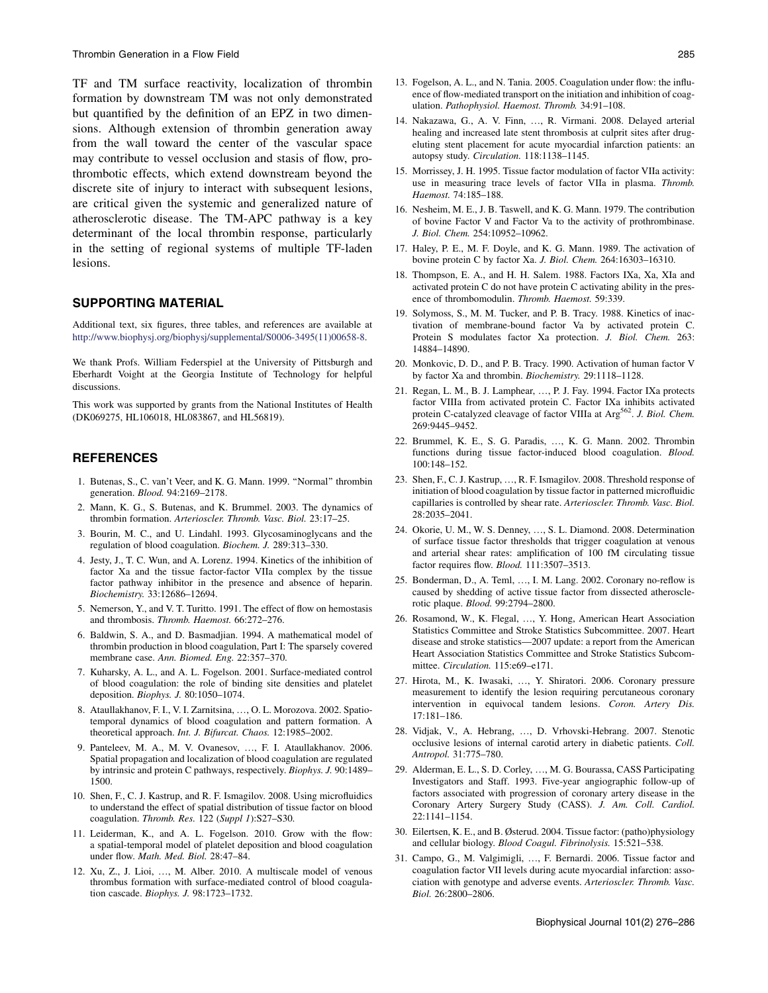TF and TM surface reactivity, localization of thrombin formation by downstream TM was not only demonstrated but quantified by the definition of an EPZ in two dimensions. Although extension of thrombin generation away from the wall toward the center of the vascular space may contribute to vessel occlusion and stasis of flow, prothrombotic effects, which extend downstream beyond the discrete site of injury to interact with subsequent lesions, are critical given the systemic and generalized nature of atherosclerotic disease. The TM-APC pathway is a key determinant of the local thrombin response, particularly in the setting of regional systems of multiple TF-laden lesions.

# SUPPORTING MATERIAL

Additional text, six figures, three tables, and references are available at http://www.biophysj.org/biophysj/supplemental/S0006-3495(11)00658-8.

We thank Profs. William Federspiel at the University of Pittsburgh and Eberhardt Voight at the Georgia Institute of Technology for helpful discussions.

This work was supported by grants from the National Institutes of Health (DK069275, HL106018, HL083867, and HL56819).

#### REFERENCES

- 1. Butenas, S., C. van't Veer, and K. G. Mann. 1999. ''Normal'' thrombin generation. Blood. 94:2169–2178.
- 2. Mann, K. G., S. Butenas, and K. Brummel. 2003. The dynamics of thrombin formation. Arterioscler. Thromb. Vasc. Biol. 23:17–25.
- 3. Bourin, M. C., and U. Lindahl. 1993. Glycosaminoglycans and the regulation of blood coagulation. Biochem. J. 289:313–330.
- 4. Jesty, J., T. C. Wun, and A. Lorenz. 1994. Kinetics of the inhibition of factor Xa and the tissue factor-factor VIIa complex by the tissue factor pathway inhibitor in the presence and absence of heparin. Biochemistry. 33:12686–12694.
- 5. Nemerson, Y., and V. T. Turitto. 1991. The effect of flow on hemostasis and thrombosis. Thromb. Haemost. 66:272–276.
- 6. Baldwin, S. A., and D. Basmadjian. 1994. A mathematical model of thrombin production in blood coagulation, Part I: The sparsely covered membrane case. Ann. Biomed. Eng. 22:357–370.
- 7. Kuharsky, A. L., and A. L. Fogelson. 2001. Surface-mediated control of blood coagulation: the role of binding site densities and platelet deposition. Biophys. J. 80:1050–1074.
- 8. Ataullakhanov, F. I., V. I. Zarnitsina, ..., O. L. Morozova. 2002. Spatiotemporal dynamics of blood coagulation and pattern formation. A theoretical approach. Int. J. Bifurcat. Chaos. 12:1985–2002.
- 9. Panteleev, M. A., M. V. Ovanesov, ..., F. I. Ataullakhanov. 2006. Spatial propagation and localization of blood coagulation are regulated by intrinsic and protein C pathways, respectively. Biophys. J. 90:1489– 1500.
- 10. Shen, F., C. J. Kastrup, and R. F. Ismagilov. 2008. Using microfluidics to understand the effect of spatial distribution of tissue factor on blood coagulation. Thromb. Res. 122 (Suppl 1):S27–S30.
- 11. Leiderman, K., and A. L. Fogelson. 2010. Grow with the flow: a spatial-temporal model of platelet deposition and blood coagulation under flow. Math. Med. Biol. 28:47–84.
- 12. Xu, Z., J. Lioi, ., M. Alber. 2010. A multiscale model of venous thrombus formation with surface-mediated control of blood coagulation cascade. Biophys. J. 98:1723–1732.
- 13. Fogelson, A. L., and N. Tania. 2005. Coagulation under flow: the influence of flow-mediated transport on the initiation and inhibition of coagulation. Pathophysiol. Haemost. Thromb. 34:91–108.
- 14. Nakazawa, G., A. V. Finn, ..., R. Virmani. 2008. Delayed arterial healing and increased late stent thrombosis at culprit sites after drugeluting stent placement for acute myocardial infarction patients: an autopsy study. Circulation. 118:1138–1145.
- 15. Morrissey, J. H. 1995. Tissue factor modulation of factor VIIa activity: use in measuring trace levels of factor VIIa in plasma. Thromb. Haemost. 74:185–188.
- 16. Nesheim, M. E., J. B. Taswell, and K. G. Mann. 1979. The contribution of bovine Factor V and Factor Va to the activity of prothrombinase. J. Biol. Chem. 254:10952–10962.
- 17. Haley, P. E., M. F. Doyle, and K. G. Mann. 1989. The activation of bovine protein C by factor Xa. J. Biol. Chem. 264:16303–16310.
- 18. Thompson, E. A., and H. H. Salem. 1988. Factors IXa, Xa, XIa and activated protein C do not have protein C activating ability in the presence of thrombomodulin. Thromb. Haemost. 59:339.
- 19. Solymoss, S., M. M. Tucker, and P. B. Tracy. 1988. Kinetics of inactivation of membrane-bound factor Va by activated protein C. Protein S modulates factor Xa protection. J. Biol. Chem. 263: 14884–14890.
- 20. Monkovic, D. D., and P. B. Tracy. 1990. Activation of human factor V by factor Xa and thrombin. Biochemistry. 29:1118–1128.
- 21. Regan, L. M., B. J. Lamphear, ..., P. J. Fay. 1994. Factor IXa protects factor VIIIa from activated protein C. Factor IXa inhibits activated protein C-catalyzed cleavage of factor VIIIa at Arg<sup>562</sup>. J. Biol. Chem. 269:9445–9452.
- 22. Brummel, K. E., S. G. Paradis, ..., K. G. Mann. 2002. Thrombin functions during tissue factor-induced blood coagulation. Blood. 100:148–152.
- 23. Shen, F., C. J. Kastrup, ., R. F. Ismagilov. 2008. Threshold response of initiation of blood coagulation by tissue factor in patterned microfluidic capillaries is controlled by shear rate. Arterioscler. Thromb. Vasc. Biol. 28:2035–2041.
- 24. Okorie, U. M., W. S. Denney, ., S. L. Diamond. 2008. Determination of surface tissue factor thresholds that trigger coagulation at venous and arterial shear rates: amplification of 100 fM circulating tissue factor requires flow. Blood. 111:3507–3513.
- 25. Bonderman, D., A. Teml, ..., I. M. Lang. 2002. Coronary no-reflow is caused by shedding of active tissue factor from dissected atherosclerotic plaque. Blood. 99:2794–2800.
- 26. Rosamond, W., K. Flegal, ..., Y. Hong, American Heart Association Statistics Committee and Stroke Statistics Subcommittee. 2007. Heart disease and stroke statistics—2007 update: a report from the American Heart Association Statistics Committee and Stroke Statistics Subcommittee. Circulation. 115:e69–e171.
- 27. Hirota, M., K. Iwasaki, ..., Y. Shiratori. 2006. Coronary pressure measurement to identify the lesion requiring percutaneous coronary intervention in equivocal tandem lesions. Coron. Artery Dis. 17:181–186.
- 28. Vidjak, V., A. Hebrang, ..., D. Vrhovski-Hebrang. 2007. Stenotic occlusive lesions of internal carotid artery in diabetic patients. Coll. Antropol. 31:775–780.
- 29. Alderman, E. L., S. D. Corley, ..., M. G. Bourassa, CASS Participating Investigators and Staff. 1993. Five-year angiographic follow-up of factors associated with progression of coronary artery disease in the Coronary Artery Surgery Study (CASS). J. Am. Coll. Cardiol. 22:1141–1154.
- 30. Eilertsen, K. E., and B. Østerud. 2004. Tissue factor: (patho)physiology and cellular biology. Blood Coagul. Fibrinolysis. 15:521–538.
- 31. Campo, G., M. Valgimigli, ., F. Bernardi. 2006. Tissue factor and coagulation factor VII levels during acute myocardial infarction: association with genotype and adverse events. Arterioscler. Thromb. Vasc. Biol. 26:2800–2806.